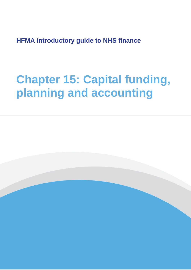**HFMA introductory guide to NHS finance**

# **Chapter 15: Capital funding, planning and accounting**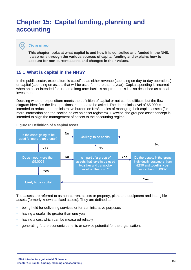## **Chapter 15: Capital funding, planning and accounting**

## **Overview**

 $\bullet$ 

**This chapter looks at what capital is and how it is controlled and funded in the NHS. It also runs through the various sources of capital funding and explains how to account for non-current assets and changes in their values.**

## **15.1 What is capital in the NHS?**

In the public sector, expenditure is classified as either revenue (spending on day-to-day operations) or capital (spending on assets that will be used for more than a year). Capital spending is incurred when an asset intended for use on a long-term basis is acquired – this is also described as capital investment.

Deciding whether expenditure meets the definition of capital or not can be difficult, but the flow diagram identifies the first questions that need to be asked. The de minimis level of £5,000 is intended to reduce the administrative burden on NHS bodies of managing their capital assets (for more information see the section below on asset registers). Likewise, the grouped asset concept is intended to align the management of assets to the accounting regime.



#### **Figure 6: Definition of a capital asset**

The assets are referred to as non-current assets or property, plant and equipment and intangible assets (formerly known as fixed assets). They are defined as:

- being held for delivering services or for administrative purposes
- having a useful life greater than one year
- having a cost which can be measured reliably
- generating future economic benefits or service potential for the organisation.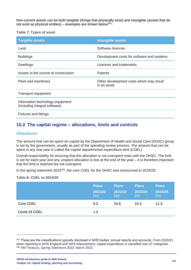Non-current assets can be both tangible (things that physically exist) and intangible (assets that do not exist as physical entities) – examples are shown below<sup>207:</sup>

**Table 7: Types of asset**

| <b>Tangible assets</b>                                            | <b>Intangible assets</b>                                |
|-------------------------------------------------------------------|---------------------------------------------------------|
| Land                                                              | Software licences                                       |
| <b>Buildings</b>                                                  | Development costs for software and systems              |
| <b>Dwellings</b>                                                  | Licences and trademarks                                 |
| Assets in the course of construction                              | <b>Patents</b>                                          |
| Plant and machinery                                               | Other development costs which may result<br>in an asset |
| <b>Transport equipment</b>                                        |                                                         |
| Information technology equipment<br>(including integral software) |                                                         |

Fixtures and fittings

## **15.2 The capital regime – allocations, limits and controls**

#### **Allocations**

The amount that can be spent on capital by the Department of Health and Social Care (DHSC) group is set by the government, usually as part of the spending review process. The amount that can be spent in any one year is called the capital departmental expenditure limit (CDEL)

Overall responsibility for ensuring that the allocation is not overspent rests with the DHSC. The limit is set for each year and any unspent allocation is lost at the end of the year – it is therefore important that the limit is reached but not overspent.

In the spring statement 2022<sup>208</sup>, the core CDEL for the DHSC was announced to 2024/25:

#### **Table 8: CDEL to 2024/25**

|               | <b>Plans</b><br>2021/22<br>£bn | <b>Plans</b><br>2022/23<br>Ebn. | <b>Plans</b><br>2023/24<br>£bn | <b>Plans</b><br>2024/25<br>Ebn |
|---------------|--------------------------------|---------------------------------|--------------------------------|--------------------------------|
| Core CDEL     | 9.2                            | 10.6                            | 10.5                           | 11.3                           |
| Covid-19 CDEL | 1.2                            |                                 |                                |                                |

<sup>207</sup> These are the classifications typically disclosed in NHS bodies' annual reports and accounts. From 2020/21 when reporting to NHS England and NHS Improvement, capital expenditure is classified over 27 categories <sup>208</sup> HM Treasury, *[Spring Statement 2022](https://assets.publishing.service.gov.uk/government/uploads/system/uploads/attachment_data/file/1062708/Spring_Statement_2022_Print.pdf)*, March 2022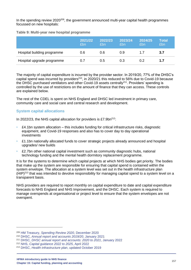In the spending review  $2020^{209}$ , the government announced multi-vear capital health programmes focussed on new hospitals:

| Table 3. Multi-year flew hospital programme |                       |  |
|---------------------------------------------|-----------------------|--|
|                                             | 2021/22 2022/23 2023/ |  |

**Table 9: Multi-year new hospital programme**

|                             | 2021/22<br>f <sub>fn</sub> | 2022/23<br>£bn | 2023/24<br>£bn | 2024/25<br>£bn | Total<br>£bn |
|-----------------------------|----------------------------|----------------|----------------|----------------|--------------|
| Hospital building programme | 0.6                        | 0.6            | 0.9            | 17             | 3.7          |
| Hospital upgrade programme  | 0.7                        | 0.5            | 0.3            | 0.2            | 1.7          |

The majority of capital expenditure is incurred by the provider sector. In 2019/20, 77% of the DHSC's capital spend was incurred by providers<sup>210</sup>, in 2020/21 this reduced to 56% due to Covid-19 because the DHSC purchased ventilators and other Covid-19 assets centrally<sup>211</sup>. Providers' spending is controlled by the use of restrictions on the amount of finance that they can access. These controls are explained below.

The rest of the CDEL is spent on NHS England and DHSC led investment in primary care, community care and social care and central research and development.

## **System capital allocations**

In 2022/23, the NHS capital allocation for providers is £7.9bn $^{212}$ :

- £4.1bn system allocation this includes funding for critical infrastructure risks, diagnostic equipment, and Covid-19 responses and also has to cover day to day operational investments
- £1.1bn nationally allocated funds to cover strategic projects already announced and hospital upgrades/ new builds
- £2.7bn other national capital investment such as community diagnostic hubs, national technology funding and the mental health dormitory replacement programme.

It is for the systems to determine which capital projects at which NHS bodies get priority. The bodies that make up the system are responsible for ensuring that capital spend is contained within the system envelope. The allocation at a system level was set out in the health infrastructure plan  $(HIP)^{213}$  that was intended to devolve responsibility for managing capital spend to a system level on a transparent basis.

NHS providers are required to report monthly on capital expenditure to date and capital expenditure forecasts to NHS England and NHS Improvement, and the DHSC. Each system is required to manage overspends at organisational or project level to ensure that the system envelopes are not overspent.

<sup>209</sup> HM Treasury, *[Spending Review 2020](https://www.gov.uk/government/publications/spending-review-2020-documents/spending-review-2020)*, December 2020

<sup>210</sup> DHSC, *[Annual report and accounts 2019/20](https://www.gov.uk/government/publications/dhsc-annual-report-and-accounts-2019-to-2020)*, January 2021

<sup>211</sup> DHSC*[, DHSC annual report and accounts: 2020 to 2021](https://www.gov.uk/government/publications/dhsc-annual-report-and-accounts-2020-to-2021)*, January 2022

<sup>212</sup> NHS, *[Capital guidance 2022 to 2025](https://www.england.nhs.uk/wp-content/uploads/2021/12/B1256-capital-guidance-for-2022-25.pdf)*, April 2022

<sup>213</sup> DHSC, *[Health infrastructure plan](https://www.gov.uk/government/publications/health-infrastructure-plan)*, updated October 2019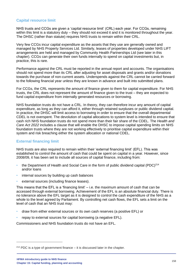#### **Capital resource limit**

NHS trusts and CCGs are given a 'capital resource limit' (CRL) each year. For CCGs, remaining within this limit is a statutory duty – they should not exceed it and it is monitored throughout the year. The DHSC (rather than statute) requires NHS trusts to remain within their CRL.

Very few CCGs incur capital expenditure as the assets that they use are generally owned and managed by NHS Property Services Ltd. Similarly, leases of properties developed under NHS LIFT arrangements are held and managed by Community Health Partnerships Ltd (see later in this chapter). CCGs can generate their own funds internally to spend on capital investments but, in practice, this is rare.

Performance against the CRL must be reported in the annual report and accounts. The organisations should not spend more than its CRL after adjusting for asset disposals and grants and/or donations towards the purchase of non-current assets. Underspends against the CRL cannot be carried forward to the following financial year unless they are known in advance and built into submitted plans.

For CCGs, the CRL represents the amount of finance given to them for capital expenditure. For NHS trusts, the CRL does not represent the amount of finance given to the trust – they are expected to fund capital expenditure from internally generated resources or borrowing.

NHS foundation trusts do not have a CRL. In theory, they can therefore incur any amount of capital expenditure, as long as they can afford it, either through retained surpluses or public dividend capital. In practice, the DHSC will limit access to borrowing in order to ensure that the overall departmental CDEL is not overspent. The devolution of capital allocations to system level is intended to ensure that cash rich NHS foundation trusts do not spend more than their fair share of the CDEL. The *Health and Care Act 2022* includes a clause that will enable the DHSC to impose capital spending limits on NHS foundation trusts where they are not working effectively to prioritise capital expenditure within their system and risk breaching either the system allocation or national CDEL.

#### **External financing limit**

NHS trusts are also required to remain within their 'external financing limit' (EFL). This was established to control the amount of cash that could be spent on capital in a year. However, since 2008/09, it has been set to include all sources of capital finance, including from:

- the Department of Health and Social Care in the form of public dividend capital (PDC)<sup>214</sup> and/or loans
- internal sources by building up cash balances
- external sources (including finance leases).

This means that the EFL is a 'financing limit' – i.e. the maximum amount of cash that can be accessed through external borrowing. Achievement of the EFL is an absolute financial duty. There is no tolerance above the EFL target as it is designed to control the cash expenditure of the NHS as a whole to the level agreed by Parliament. By controlling net cash flows, the EFL sets a limit on the level of cash that an NHS trust may:

- draw from either external sources or its own cash reserves (a positive EFL) or
- repay to external sources for capital borrowing (a negative EFL).

Commissioners and NHS foundation trusts do not have an EFL.

 $214$  PDC is a type of government finance – it is discussed later in the chapter.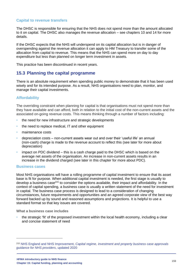#### **Capital to revenue transfers**

The DHSC is responsible for ensuring that the NHS does not spend more than the amount allocated to it on capital. The DHSC also manages the revenue allocation – see chapters 10 and 14 for more details.

If the DHSC expects that the NHS will underspend on its capital allocation but is in danger of overspending against the revenue allocation it can apply to HM Treasury to transfer some of the allocation from capital to revenue. This means that the NHS can spend more on day to day expenditure but less than planned on longer term investment in assets.

This practice has been discontinued in recent years.

## **15.3 Planning the capital programme**

There is an absolute requirement when spending public money to demonstrate that it has been used wisely and for its intended purpose. As a result, NHS organisations need to plan, monitor, and manage their capital investments.

## **Affordability**

The overriding constraint when planning for capital is that organisations must not spend more than they have available and can afford, both in relation to the initial cost of the non-current assets and the associated on-going revenue costs. This means thinking through a number of factors including:

- the need for new infrastructure and strategic developments
- the need to replace medical, IT and other equipment
- maintenance costs
- depreciation costs non-current assets wear out and over their 'useful life' an annual (non-cash) charge is made to the revenue account to reflect this (see later for more about depreciation)
- impact on PDC dividend this is a cash charge paid to the DHSC which is based on the average net assets of the organisation. An increase in non-current assets results in an increase in the dividend charged (see later in this chapter for more about PDC).

#### **Business cases**

Most NHS organisations will have a rolling programme of capital investment to ensure that its asset base is fit for purpose. When additional capital investment is needed, the first stage is usually to develop a business case<sup>215</sup> to consider the options available, their impact and affordability. In the context of capital spending, a business case is usually a written statement of the need for investment in capital. The business case process is designed to lead to a consideration of changing circumstances, future requirements and opportunities and an agreed corporate view of the best way forward backed up by sound and reasoned assumptions and projections. It is helpful to use a standard format so that key issues are covered.

**What a business case includes**

• the strategic 'fit' of the proposed investment within the local health economy, including a clear and concise statement of need

<sup>215</sup> NHS England and NHS Improvement, *[Capital regime, investment and property business case approvals](https://www.england.nhs.uk/financial-accounting-and-reporting/capital-regime-investment-and-property-business-case-approval-guidance-for-nhs-providers/)  [guidance for NHS providers](https://www.england.nhs.uk/financial-accounting-and-reporting/capital-regime-investment-and-property-business-case-approval-guidance-for-nhs-providers/)*, updated 2020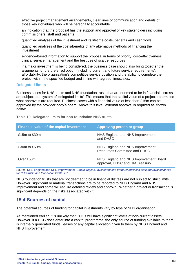- effective project management arrangements, clear lines of communication and details of those key individuals who will be personally accountable
- an indication that the proposal has the support and approval of key stakeholders including commissioners, staff and patients
- quantified analyses of the investment and its lifetime costs, benefits and cash flows
- quantified analyses of the costs/benefits of any alternative methods of financing the investment
- evidence-based information to support the proposal in terms of priority, cost-effectiveness, clinical service management and the best use of scarce resources
- if a major investment is being considered, the business case should also bring together the arguments for the preferred option (including current and future service requirements), affordability, the organisation's competitive service position and the ability to complete the project within the specified budget and in line with agreed timescales.

#### **Delegated limits**

Business cases for NHS trusts and NHS foundation trusts that are deemed to be in financial distress are subject to a system of 'delegated limits'. This means that the capital value of a project determines what approvals are required. Business cases with a financial value of less than £15m can be approved by the provider body's board. Above this level, external approval is required as shown below.

**Table 10: Delegated limits for non-foundation NHS trusts**

| <b>Financial value of the capital investment</b> | <b>Approving person or group</b>                                        |
|--------------------------------------------------|-------------------------------------------------------------------------|
| £15 $m$ to £30 $m$                               | NHS England and NHS Improvement<br>and DHSC                             |
| £30m to £50m                                     | NHS England and NHS Improvement<br>Resources Committee and DHSC         |
| Over £50m                                        | NHS England and NHS Improvement Board<br>approval, DHSC and HM Treasury |

Source: NHS England and NHS Improvement, *[Capital regime, investment and property business case approval guidance](https://www.england.nhs.uk/financial-accounting-and-reporting/capital-regime-investment-and-property-business-case-approval-guidance-for-nhs-providers/)  [for NHS trusts and foundation trusts](https://www.england.nhs.uk/financial-accounting-and-reporting/capital-regime-investment-and-property-business-case-approval-guidance-for-nhs-providers/)*, 2016

NHS foundation trusts that are not deemed to be in financial distress are not subject to strict limits. However, significant or material transactions are to be reported to NHS England and NHS Improvement and some will require detailed review and approval. Whether a project or transaction is significant depends on the risks associated with it.

## **15.4 Sources of capital**

The potential sources of funding for capital investments vary by type of NHS organisation.

As mentioned earlier, it is unlikely that CCGs will have significant levels of non-current assets. However, if a CCG does enter into a capital programme, the only source of funding available to them is internally generated funds, leases or any capital allocation given to them by NHS England and NHS Improvement.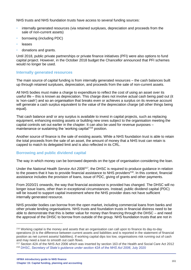NHS trusts and NHS foundation trusts have access to several funding sources:

- internally generated resources (via retained surpluses, depreciation and proceeds from the sale of non-current assets)
- borrowing (including PDC)
- **leases**
- donations and grants.

Until 2018, public private partnerships or private finance initiatives (PFI) were also options to fund capital project. However, in the October 2018 budget the Chancellor announced that PFI schemes would no longer be used.

#### **Internally generated resources**

The main source of capital funding is from internally generated resources – the cash balances built up through retained surpluses, depreciation, and proceeds from the sale of non-current assets.

All NHS bodies must make a charge to expenditure to reflect the cost of using an asset over its useful life – this is known as depreciation. This charge does not involve actual cash being paid out (it is 'non-cash') and so an organisation that breaks even or achieves a surplus on its revenue account will generate a cash surplus equivalent to the value of the depreciation charge (all other things being equal).

That cash balance and/ or any surplus is available to invest in capital projects, such as replacing equipment, enhancing existing assets or building new ones subject to the organisation meeting the capital controls set out earlier in the chapter. It can also be used for revenue purposes – maintenance or sustaining the 'working capital'<sup>216</sup> position.

Another source of finance is the sale of existing assets. While a NHS foundation trust is able to retain the total proceeds from the sale of an asset, the amount of money that a NHS trust can retain is capped to match its delegated limit and is also reflected in its CRL.

#### **Borrowing and public dividend capital**

The way in which money can be borrowed depends on the type of organisation considering the loan.

Under the *National Health Service Act 2006*<sup>217</sup>, the DHSC is required to produce guidance in relation to the powers that it has to provide financial assistance to NHS providers $2^{18}$ . In this context, financial assistance includes the provision of loans, issue of PDC, giving of grants and other payments.

From 2020/21 onwards, the way that financial assistance is provided has changed. The DHSC will no longer issue loans, other than in exceptional circumstances. Instead, public dividend capital (PDC) will be issued to support capital investment where the NHS provider does not have sufficient internally generated resource.

NHS provider bodies can borrow from the open market, including commercial loans from banks and other private lending organisations. NHS trusts and foundation trusts in financial distress need to be able to demonstrate that this is better value for money than financing through the DHSC – and need the approval of the DHSC to borrow from outside of the group. NHS foundation trusts that are not in

<sup>216</sup> Working capital is the money and assets that an organisation can call upon to finance its day-to-day operations (it is the difference between current assets and liabilities and is reported in the statement of financial position as net current assets/ liabilities). If working capital dips too low, organisations risk running out of cash and may need a loan to smooth out cash flows.

<sup>217</sup> Section 42A of the NHS Act 2006 which was inserted by section 163 of the Health and Social Care Act 2012 <sup>218</sup> DHSC, *[Secretary of State's guidance under section 42A of the NHS Act 2006](https://www.gov.uk/government/uploads/system/uploads/attachment_data/file/365134/SofS_Finance_Guidance_under_Section_42A.pdf)*, July 2020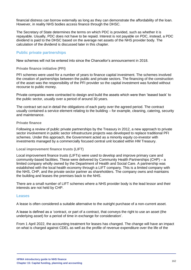financial distress can borrow externally as long as they can demonstrate the affordability of the loan. However, in reality NHS bodies access finance through the DHSC.

The Secretary of State determines the terms on which PDC is provided, such as whether it is repayable. Usually, PDC does not have to be repaid. Interest is not payable on PDC, instead, a PDC dividend is paid to the DHSC based on the average net assets of the NHS provider body. The calculation of the dividend is discussed later in this chapter.

#### **Public private partnerships**

New schemes will not be entered into since the Chancellor's announcement in 2018.

#### **Private finance initiative (PFI)**

PFI schemes were used for a number of years to finance capital investment. The schemes involved the creation of partnerships between the public and private sectors. The financing of the construction of the asset was the responsibility of the PFI provider so the capital investment was funded without recourse to public money.

Private companies were contracted to design and build the assets which were then 'leased back' to the public sector, usually over a period of around 30 years.

The contract set out in detail the obligations of each party over the agreed period. The contract usually contained a service element relating to the building – for example, cleaning, catering, security and maintenance.

#### **Private finance**

Following a review of public private partnerships by the Treasury in 2012, a new approach to private sector involvement in public sector infrastructure projects was developed to replace traditional PFI schemes. Under this approach, the Government acted as a minority equity co-investor with investments managed by a commercially focused central unit located within HM Treasury.

#### **Local improvement finance trusts (LIFT)**

Local improvement finance trusts (LIFTs) were used to develop and improve primary care and community-based facilities. These were delivered by Community Health Partnerships (CHP) – a limited company wholly owned by the Department of Health and Social Care. A partnership was established with the local health economy through a LIFT company. This is a limited company with the NHS, CHP, and the private sector partner as shareholders. The company owns and maintains the building and leases the premises back to the NHS.

There are a small number of LIFT schemes where a NHS provider body is the lead lessor and their interests are not held by CHP.

#### **Leases**

A lease is often considered a suitable alternative to the outright purchase of a non-current asset.

A lease is defined as a 'contract, or part of a contract, that conveys the right to use an asset (the underlying asset) for a period of time in exchange for consideration'.

From 1 April 2022, the accounting treatment for leases has changed. The change will have an impact on what is charged against CDEL as well as the profile of revenue expenditure over the life of the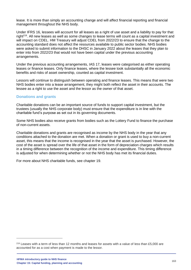lease. It is more than simply an accounting change and will affect financial reporting and financial management throughout the NHS body.

Under IFRS 16, lessees will account for all leases as a right of use asset and a liability to pay for that right<sup>219</sup>. All new leases as well as some changes to lease terms will count as a capital investment and will impact on CDEL. HM Treasury will adjust CDEL from 2022/23 to ensure that the change to the accounting standard does not affect the resources available to public sector bodies. NHS bodies were asked to submit information to the DHSC in January 2022 about the leases that they plan to enter into from 2022/23 that would not have been capital under the previous accounting arrangements.

Under the previous accounting arrangements, IAS 17, leases were categorised as either operating leases or finance leases. Only finance leases, where the lessee took substantially all the economic benefits and risks of asset ownership, counted as capital investment.

Lessors will continue to distinguish between operating and finance leases. This means that were two NHS bodies enter into a lease arrangement, they might both reflect the asset in their accounts. The lessee as a right to use the asset and the lessor as the owner of that asset.

#### **Donations and grants**

Charitable donations can be an important source of funds to support capital investment, but the trustees (usually the NHS corporate body) must ensure that the expenditure is in line with the charitable fund's purpose as set out in its governing documents.

Some NHS bodies also receive grants from bodies such as the Lottery Fund to finance the purchase of non-current assets.

Charitable donations and grants are recognised as income by the NHS body in the year that any conditions attached to the donation are met. When a donation or grant is used to buy a non-current asset, this means that the income is recognised in the year that the asset is purchased. However, the cost of the asset is spread over the life of that asset in the form of depreciation charges which results in a timing difference between the recognition of the income and expenditure. This timing difference is adjusted for when determining whether or not the NHS body has met its financial duties.

For more about NHS charitable funds, see chapter 19.

 $219$  Leases with a term of less than 12 months and leases for assets with a value of less than £5,000 are accounted for as a cost when payment is made to the lessor.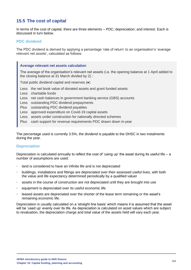## **15.5 The cost of capital**

In terms of the cost of capital, there are three elements – PDC; depreciation; and interest. Each is discussed in turn below.

#### **PDC dividend**

The PDC dividend is derived by applying a percentage 'rate of return' to an organisation's 'average relevant net assets', calculated as follows:

#### **Average relevant net assets calculation**

The average of the organisation's relevant net assets (i.e. the opening balance at 1 April added to the closing balance at 31 March divided by 2) :

Total public dividend capital and reserves (●)

- Less the net book value of donated assets and grant funded assets
- Less charitable funds
- Less net cash balances in government banking service (GBS) accounts

Less outstanding PDC dividend prepayments

Plus outstanding PDC dividend payables

Less approved expenditure on Covid-19 capital assets

Less assets under construction for nationally directed schemes

Plus cash support for revenue requirements PDC drawn down in-year

The percentage used is currently 3.5%, the dividend is payable to the DHSC in two instalments during the year.

#### **Depreciation**

Depreciation is calculated annually to reflect the cost of 'using up' the asset during its useful life – a number of assumptions are used:

- land is considered to have an infinite life and is not depreciated
- buildings, installations and fittings are depreciated over their assessed useful lives, with both the value and life expectancy determined periodically by a qualified valuer
- assets in the course of construction are not depreciated until they are brought into use
- equipment is depreciated over its useful economic life
- leased assets are depreciated over the shorter of the lease term remaining or the asset's remaining economic life.

Depreciation is usually calculated on a 'straight line basis' which means it is assumed that the asset will be 'used up' evenly over its life. As depreciation is calculated on asset values which are subject to revaluation, the depreciation charge and total value of the assets held will vary each year.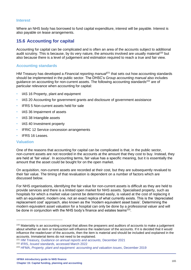#### **Interest**

Where an NHS body has borrowed to fund capital expenditure, interest will be payable. Interest is also payable on lease arrangements.

## **15.6 Accounting for capital**

Accounting for capital can be complicated and is often an area of the accounts subject to additional audit scrutiny. This is because, by its very nature, the amounts involved are usually material<sup>220</sup> but also because there is a level of judgement and estimation required to reach a true and fair view.

#### **Accounting standards**

HM Treasury has developed a *Financial reporting manual<sup>221</sup>* that sets out how accounting standards should be implemented in the public sector. The DHSC's *Group accounting manual* also includes guidance on accounting for non-current assets. The following accounting standards<sup>222</sup> are of particular relevance when accounting for capital:

- IAS 16 Property, plant and equipment
- IAS 20 Accounting for government grants and disclosure of government assistance
- IFRS 5 Non-current assets held for sale
- IAS 36 Impairment of assets
- IAS 38 Intangible assets
- IAS 40 Investment property
- IFRIC 12 Service concession arrangements
- IFRS 16 Leases.

#### **Valuation**

One of the reasons that accounting for capital can be complicated is that, in the public sector, non-current assets are not recorded in the accounts at the amount that they cost to buy. Instead, they are held at 'fair value'. In accounting terms, fair value has a specific meaning, but it is essentially the amount that the asset could be bought for on the open market.

On acquisition, non-current assets are recorded at their cost, but they are subsequently revalued to their fair value. The timing of that revaluation is dependent on a number of factors which are discussed below.

For NHS organisations, identifying the fair value for non-current assets is difficult as they are held to provide services and there is a limited open market for NHS assets. Specialised property, such as hospitals for which a market value cannot be determined easily, is valued at the cost of replacing it with an equivalent, modern one, not an exact replica of what currently exists. This is the 'depreciated replacement cost' approach, also known as the 'modern equivalent asset basis'. Determining the modern equivalent asset valuation for a hospital can only be done by a professional valuer and will be done in conjunction with the NHS body's finance and estates teams $^{223}$ .

<sup>&</sup>lt;sup>220</sup> Materiality is an accounting concept that allows the preparers and auditors of accounts to make a judgement about whether an item or transaction will influence the reader/user of the accounts. If it is decided that it would influence the reader/user of the accounts, then the item is material and should be included and explained in the accounts. Immaterial items do not need to be explained.

<sup>221</sup> HM Treasury, *[Guidance on annual reports and accounts,](https://www.gov.uk/government/collections/government-financial-reporting-manual-frem)* December 2021

<sup>222</sup> IFRS, *Issued standards,* [accessed March 2022](https://www.ifrs.org/issued-standards/)

<sup>223</sup> HFMA, *[Property, plant and equipment: accounting and valuation issues](https://www.hfma.org.uk/publications/details/property-plant-and-equipment-accounting-and-valuation-issues)*, December 2019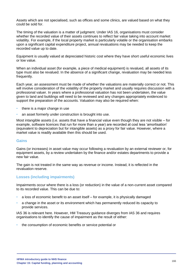Assets which are not specialised, such as offices and some clinics, are valued based on what they could be sold for.

The timing of the valuation is a matter of judgment. Under IAS 16, organisations must consider whether the recorded value of their assets continues to reflect fair value taking into account market volatility. For example, if the local property market is particularly volatile or the organisation embarks upon a significant capital expenditure project, annual revaluations may be needed to keep the recorded value up to date.

Equipment is usually valued at depreciated historic cost where they have short useful economic lives or low value.

When an individual asset (for example, a piece of medical equipment) is revalued, all assets of its type must also be revalued. In the absence of a significant change, revaluation may be needed less frequently.

Each year, an assessment must be made of whether the valuations are materially correct or not. This will involve consideration of the volatility of the property market and usually requires discussion with a professional valuer. In years where a professional valuation has not been undertaken, the value given to land and buildings will need to be reviewed and any changes appropriately evidenced to support the preparation of the accounts. Valuation may also be required when:

- there is a major change in use
- an asset formerly under construction is brought into use.

Most intangible assets (i.e. assets that have a financial value even though they are not visible – for example, software licences that run for more than a year) are recorded at cost less 'amortisation' (equivalent to depreciation but for intangible assets) as a proxy for fair value. However, where a market value is readily available then this should be used.

#### **Gains**

Gains (or increases) in asset value may occur following a revaluation by an external reviewer or, for equipment assets, by a review undertaken by the finance and/or estates departments to provide a new fair value.

The gain is not treated in the same way as revenue or income. Instead, it is reflected in the revaluation reserve.

#### **Losses (including impairments)**

Impairments occur where there is a loss (or reduction) in the value of a non-current asset compared to its recorded value. This can be due to:

- a loss of economic benefit to an asset itself for example, it is physically damaged
- a change in the asset or its environment which has permanently reduced its capacity to provide services.

IAS 36 is relevant here. However, HM Treasury guidance diverges from IAS 36 and requires organisations to identify the cause of impairment as the result of either:

• the consumption of economic benefits or service potential or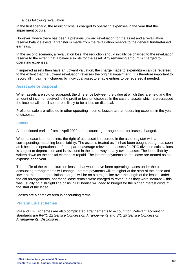• a loss following revaluation.

In the first scenario, the resulting loss is charged to operating expenses in the year that the impairment occurs.

However, where there has been a previous upward revaluation for the asset and a revaluation reserve balance exists, a transfer is made from the revaluation reserve to the general fund/retained earnings.

In the second scenario, a revaluation loss, the reduction should initially be charged to the revaluation reserve to the extent that a balance exists for the asset. Any remaining amount is charged to operating expenses.

If impaired assets then have an upward valuation, the charge made to expenditure can be reversed to the extent that the upward revaluation reverses the original impairment. It is therefore important to record all impairment charges by individual asset to enable entries to be reversed if needed.

#### **Asset sale or disposal**

When assets are sold or scrapped, the difference between the value at which they are held and the amount of income received is the profit or loss on disposal. In the case of assets which are scrapped the income will be nil so there is likely to be a loss on disposal.

Profits on sale are reflected in other operating income. Losses are an operating expense in the year of disposal.

#### **Leases**

As mentioned earlier, from 1 April 2022, the accounting arrangements for leases changed.

When a lease is entered into, the right of use asset is recorded in the asset register with a corresponding, matching lease liability. The asset is treated as if it had been bought outright as soon as it becomes operational. It forms part of average relevant net assets for PDC dividend calculations, is subject to depreciation and is revalued in the same way as any owned asset. The lease liability is written down as the capital element is repaid. The interest payments on the lease are treated as an expense each year.

The profile of the expenditure on leases that would have been operating leases under the old accounting arrangements will change. Interest payments will be higher at the start of the lease and lower at the end, depreciation charges will be on a straight line over the length of the lease. Under the old arrangements, operating lease rentals were charged to revenue as they were incurred – this was usually on a straight line basis. NHS bodies will need to budget for the higher interest costs at the start of the lease.

Leases are a complex area in accounting terms.

#### **PFI and LIFT schemes**

PFI and LIFT schemes are also complicated arrangements to account for. Relevant accounting standards are *IFRIC 12 Service Concession Arrangements* and *SIC 29 Service Concession Arrangements: Disclosures*.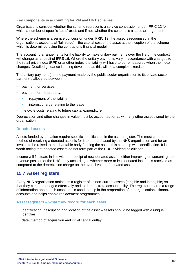**Key components in accounting for PFI and LIFT schemes** 

Organisations consider whether the scheme represents a service concession under IFRIC 12 for which a number of specific 'tests' exist, and if not, whether the scheme is a lease arrangement.

Where the scheme is a service concession under IFRIC 12, the asset is recognised in the organisation's accounts at 'fair value' – the capital cost of the asset at the inception of the scheme which is determined using the contractor's financial model.

The accounting arrangements for the liability to make unitary payments over the life of the contract will change as a result of IFRS 16. Where the unitary payments vary in accordance with changes to the retail price index (RPI) or another index, the liability will have to be remeasured when the index changes. Detailed guidance is being developed as this will be a complex exercise.

The unitary payment (i.e. the payment made by the public sector organisation to its private sector partner) is allocated between:

- payment for services
- payment for the property:
	- repayment of the liability
	- interest charge relating to the lease
- life cycle costs relating to future capital expenditure.

Depreciation and other changes in value must be accounted for as with any other asset owned by the organisation.

#### **Donated assets**

Assets funded by donation require specific identification in the asset register. The most common method of receiving a donated asset is for it to be purchased by the NHS organisation and for an invoice to be raised to the charitable body funding the asset; this can help with identification. It is worth noting that donated assets do not form part of the PDC dividend calculation.

Income will fluctuate in line with the receipt of new donated assets, either improving or worsening the revenue position of the NHS body according to whether more or less donated income is received as compared to the depreciation charge on the overall value of donated assets.

## **15.7 Asset registers**

Every NHS organisation maintains a register of its non-current assets (tangible and intangible) so that they can be managed effectively and to demonstrate accountability. The register records a range of information about each asset and is used to help in the preparation of the organisation's financial accounts and helps enable replacement programmes.

#### **Asset registers – what they record for each asset**

- identification, description and location of the asset assets should be tagged with a unique identifier
- date, method of acquisition and initial capital outlay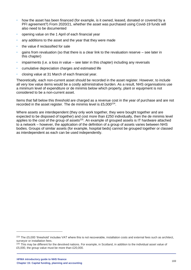- how the asset has been financed (for example, is it owned, leased, donated or covered by a PFI agreement?) From 2020/21, whether the asset was purchased using Covid-19 funds will also need to be documented
- opening value on the 1 April of each financial year
- any additions to the asset and the year that they were made
- the value if reclassified for sale
- gains from revaluation (so that there is a clear link to the revaluation reserve see later in this chapter)
- impairments (i.e. a loss in value see later in this chapter) including any reversals
- cumulative depreciation charges and estimated life
- closing value at 31 March of each financial year.

Theoretically, each non-current asset should be recorded in the asset register. However, to include all very low value items would be a costly administrative burden. As a result, NHS organisations use a minimum level of expenditure or de minimis below which property, plant or equipment is not considered to be a non-current asset.

Items that fall below this threshold are charged as a revenue cost in the year of purchase and are not recorded in the asset register. The de minimis level is £5,000 $^{224}$ .

Where assets are interdependent (they only work together, they were bought together and are expected to be disposed of together) and cost more than £250 individually, then the de minimis level applies to the cost of the group of assets $225$ . An example of grouped assets is IT hardware attached to a network – however, the application of the definition of a group of assets varies between NHS bodies. Groups of similar assets (for example, hospital beds) cannot be grouped together or classed as interdependent as each can be used independently.

 $224$  The £5,000 'threshold' includes VAT where this is not recoverable, installation costs and external fees such as architect, surveyor or installation fees.

<sup>&</sup>lt;sup>225</sup> This may be different for the devolved nations. For example, in Scotland, in addition to the individual asset value of £5,000, the group value must be more than £20,000.